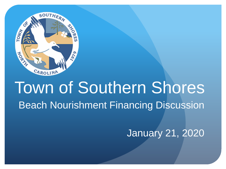

# Town of Southern Shores Beach Nourishment Financing Discussion

January 21, 2020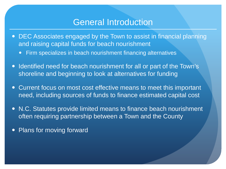#### General Introduction

- DEC Associates engaged by the Town to assist in financial planning and raising capital funds for beach nourishment
	- Firm specializes in beach nourishment financing alternatives
- Identified need for beach nourishment for all or part of the Town's shoreline and beginning to look at alternatives for funding
- Current focus on most cost effective means to meet this important need, including sources of funds to finance estimated capital cost
- N.C. Statutes provide limited means to finance beach nourishment often requiring partnership between a Town and the County
- Plans for moving forward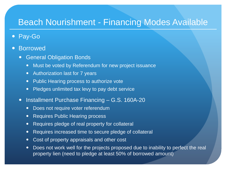## Beach Nourishment - Financing Modes Available

- Pay-Go
- **Borrowed** 
	- General Obligation Bonds
		- Must be voted by Referendum for new project issuance
		- Authorization last for 7 years
		- Public Hearing process to authorize vote
		- Pledges unlimited tax levy to pay debt service
	- Installment Purchase Financing G.S. 160A-20
		- Does not require voter referendum
		- Requires Public Hearing process
		- Requires pledge of real property for collateral
		- Requires increased time to secure pledge of collateral
		- Cost of property appraisals and other cost
		- Does not work well for the projects proposed due to inability to perfect the real property lien (need to pledge at least 50% of borrowed amount)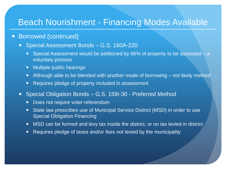## Beach Nourishment - Financing Modes Available

#### Borrowed (continued)

- Special Assessment Bonds G.S. 160A-220
	- Special Assessment would be petitioned by 66% of property to be assessed a voluntary process
	- Multiple public hearings
	- Although able to be blended with another mode of borrowing not likely method
	- Requires pledge of property included in assessment
- Special Obligation Bonds G.S. 159I-30 Preferred Method
	- Does not require voter referendum
	- State law prescribes use of Municipal Service District (MSD) in order to use Special Obligation Financing
	- MSD can be formed and levy tax inside the district, or no tax levied in district
	- Requires pledge of taxes and/or fees not levied by the municipality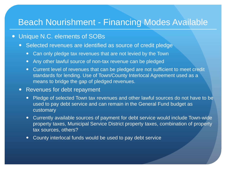#### Beach Nourishment - Financing Modes Available

#### Unique N.C. elements of SOBs

- Selected revenues are identified as source of credit pledge
	- Can only pledge tax revenues that are not levied by the Town
	- Any other lawful source of non-tax revenue can be pledged
	- Current level of revenues that can be pledged are not sufficient to meet credit standards for lending. Use of Town/County Interlocal Agreement used as a means to bridge the gap of pledged revenues.
- Revenues for debt repayment
	- Pledge of selected Town tax revenues and other lawful sources do not have to be used to pay debt service and can remain in the General Fund budget as customary
	- Currently available sources of payment for debt service would include Town-wide property taxes, Municipal Service District property taxes, combination of property tax sources, others?
	- County interlocal funds would be used to pay debt service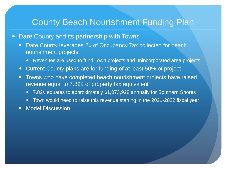## County Beach Nourishment Funding Plan

- Dare County and its partnership with Towns
	- Dare County leverages 2¢ of Occupancy Tax collected for beach nourishment projects
		- Revenues are used to fund Town projects and unincorporated area projects
	- Current County plans are for funding of at least 50% of project
	- Towns who have completed beach nourishment projects have raised revenue equal to 7.82¢ of property tax equivalent
		- 7.82¢ equates to approximately \$1,073,928 annually for Southern Shores
		- Town would need to raise this revenue starting in the 2021-2022 fiscal year
	- Model Discussion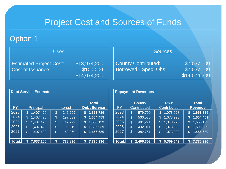#### Option 1

| <u>Uses</u>                                         |                                           | <b>Sources</b>                                      |                                            |
|-----------------------------------------------------|-------------------------------------------|-----------------------------------------------------|--------------------------------------------|
| <b>Estimated Project Cost:</b><br>Cost of Issuance: | \$13,974,200<br>\$100,000<br>\$14,074,200 | <b>County Contributed:</b><br>Borrowed - Spec. Obs. | \$7,037,100<br>\$7,037,100<br>\$14,074,200 |

| <b>Debt Service Estimate</b> |                  |                 |                                     |  |  |  |  |
|------------------------------|------------------|-----------------|-------------------------------------|--|--|--|--|
| <b>FY</b>                    | <b>Principal</b> | <b>Interest</b> | <b>Total</b><br><b>Debt Service</b> |  |  |  |  |
| 2023                         | 1,407,420        | 246,299         | 1,653,719                           |  |  |  |  |
|                              | \$               | \$              | S                                   |  |  |  |  |
| 2024                         | 1,407,420        | \$              | 1,604,459                           |  |  |  |  |
|                              | \$               | 197,039         | S                                   |  |  |  |  |
| 2025                         | 1,407,420        | 147,779         | 1,555,199                           |  |  |  |  |
|                              | $\mathfrak{L}$   | \$              | S                                   |  |  |  |  |
| 2026                         | 1,407,420        | \$              | 1,505,939                           |  |  |  |  |
|                              | \$               | 98,519          | \$                                  |  |  |  |  |
| 2027                         | 1,407,420        | \$              | 1,456,680                           |  |  |  |  |
|                              | $\mathbb{S}$     | 49,260          | \$                                  |  |  |  |  |
|                              |                  |                 |                                     |  |  |  |  |
| Total:                       | 7,037,100<br>S   | 738,896<br>S    | 7,775,996                           |  |  |  |  |

| <b>FY</b> | County<br><b>Contributed</b> |                | <b>Town</b><br>Contributed |              | <b>Total</b><br><b>Revenue</b> |
|-----------|------------------------------|----------------|----------------------------|--------------|--------------------------------|
| 2023      | \$<br>579,790                | \$             | 1,073,928                  | S.           | 1,653,719                      |
| 2024      | \$<br>530,530                | \$             | 1,073,928                  | $\mathbf{s}$ | 1,604,459                      |
| 2025      | \$<br>481,271                | $\mathfrak{S}$ | 1,073,928                  | \$           | 1,555,199                      |
| 2026      | \$<br>432,011                | \$             | 1,073,928                  | \$           | 1,505,939                      |
| 2027      | \$<br>382,751                | $\mathbb S$    | 1,073,928                  |              | \$1,456,680                    |
|           |                              |                |                            |              |                                |
| Total:    | 2,406,353                    |                | 5,369,642                  |              | 7,775,996                      |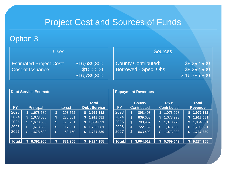#### Option 3

| <u>Uses</u>                                         |                                           | <b>Sources</b>                                      |                                            |
|-----------------------------------------------------|-------------------------------------------|-----------------------------------------------------|--------------------------------------------|
| <b>Estimated Project Cost:</b><br>Cost of Issuance: | \$16,685,800<br>\$100,000<br>\$16,785,800 | <b>County Contributed:</b><br>Borrowed - Spec. Obs. | \$8,392,900<br>\$8,392,900<br>\$16,785,800 |

| <b>Debt Service Estimate</b> |                  |                 |                                     |  |  |  |  |
|------------------------------|------------------|-----------------|-------------------------------------|--|--|--|--|
| <b>FY</b>                    | <b>Principal</b> | <b>Interest</b> | <b>Total</b><br><b>Debt Service</b> |  |  |  |  |
| 2023                         | 1,678,580        | 293,752         | 1,972,332                           |  |  |  |  |
|                              | \$               | $\$\$           | S                                   |  |  |  |  |
| 2024                         | 1,678,580        | $\$\$           | 1,913,581                           |  |  |  |  |
|                              | \$               | 235,001         | S                                   |  |  |  |  |
| 2025                         | 1,678,580        | $\$\$           | 1,854,831                           |  |  |  |  |
|                              | \$               | 176,251         | S                                   |  |  |  |  |
| 2026                         | 1,678,580        | \$              | 1,796,081                           |  |  |  |  |
|                              | \$               | 117,501         | S                                   |  |  |  |  |
| 2027                         | 1,678,580        | $\$\$           | 1,737,330                           |  |  |  |  |
|                              | \$               | 58,750          | \$                                  |  |  |  |  |
|                              |                  |                 |                                     |  |  |  |  |
| Total:                       | 8,392,900<br>S   | 881,255<br>S    | 9,274,155                           |  |  |  |  |

| <b>FY</b> |                | County<br><b>Contributed</b> |              | <b>Town</b><br>Contributed | <b>Total</b><br><b>Revenue</b> |
|-----------|----------------|------------------------------|--------------|----------------------------|--------------------------------|
| 2023      | $\mathfrak{L}$ | 898,403                      | \$           | 1,073,928                  | \$1,972,332                    |
| 2024      | \$             | 839,653                      | \$           | 1,073,928                  | \$1,913,581                    |
| 2025      | \$             | 780,902                      | \$           | 1,073,928                  | \$<br>1,854,831                |
| 2026      | \$             | 722,152                      | $\mathbb{S}$ | 1,073,928                  | \$<br>1,796,081                |
| 2027      | \$             | 663,402                      | $\mathbb{S}$ | 1,073,928                  | \$1,737,330                    |
|           |                |                              |              |                            |                                |
| Total:    | S              | 3,904,512                    |              | 5,369,642                  | 9,274,155                      |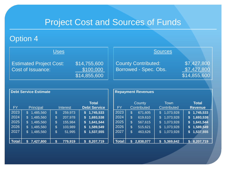#### Option 4

| <u>Uses</u>                                         |                                           | <b>Sources</b>                                      |                                            |
|-----------------------------------------------------|-------------------------------------------|-----------------------------------------------------|--------------------------------------------|
| <b>Estimated Project Cost:</b><br>Cost of Issuance: | \$14,755,600<br>\$100,000<br>\$14,855,600 | <b>County Contributed:</b><br>Borrowed - Spec. Obs. | \$7,427,800<br>\$7,427,800<br>\$14,855,600 |

| <b>Debt Service Estimate</b> |                  |                 |                                     |  |  |  |  |
|------------------------------|------------------|-----------------|-------------------------------------|--|--|--|--|
| <b>FY</b>                    | <b>Principal</b> | <b>Interest</b> | <b>Total</b><br><b>Debt Service</b> |  |  |  |  |
| 2023                         | 1,485,560        | 259,973         | 1,745,533                           |  |  |  |  |
|                              | \$               | \$              | S                                   |  |  |  |  |
| 2024                         | 1,485,560        | 207,978         | 1,693,538                           |  |  |  |  |
|                              | $\mathfrak{L}$   | \$              | S                                   |  |  |  |  |
| 2025                         | \$               | \$              | 1,641,544                           |  |  |  |  |
|                              | 1,485,560        | 155,984         | S                                   |  |  |  |  |
| 2026                         | 1,485,560        | \$              | 1,589,549                           |  |  |  |  |
|                              | \$               | 103,989         | \$                                  |  |  |  |  |
| 2027                         | 1,485,560        | 51,995          | 1,537,555                           |  |  |  |  |
|                              | \$               | \$              | S                                   |  |  |  |  |
|                              |                  |                 |                                     |  |  |  |  |
| <b>Total:</b>                | 7,427,800<br>S   | S<br>779,919    | 8,207,719                           |  |  |  |  |

| <b>FY</b> | County<br><b>Contributed</b> |           | <b>Town</b><br>Contributed |           | <b>Total</b><br><b>Revenue</b> |             |
|-----------|------------------------------|-----------|----------------------------|-----------|--------------------------------|-------------|
| 2023      | \$                           | 671,605   | \$                         | 1,073,928 |                                | \$1,745,533 |
| 2024      | \$                           | 619,610   | \$                         | 1,073,928 |                                | \$1,693,538 |
| 2025      | \$                           | 567,615   | \$                         | 1,073,928 | $\mathbf{s}$                   | 1,641,544   |
| 2026      | \$                           | 515,621   | $\mathfrak{F}$             | 1,073,928 | \$                             | 1,589,549   |
| 2027      | \$                           | 463,626   | \$.                        | 1,073,928 |                                | \$1,537,555 |
|           |                              |           |                            |           |                                |             |
| Total:    | S                            | 2,838,077 |                            | 5,369,642 |                                | 8,207,719   |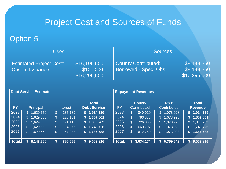#### Option 5

| <u>Uses</u>                                         |                                           | <b>Sources</b>                                      |                                            |
|-----------------------------------------------------|-------------------------------------------|-----------------------------------------------------|--------------------------------------------|
| <b>Estimated Project Cost:</b><br>Cost of Issuance: | \$16,196,500<br>\$100,000<br>\$16,296,500 | <b>County Contributed:</b><br>Borrowed - Spec. Obs. | \$8,148,250<br>\$8,148,250<br>\$16,296,500 |

| <b>Debt Service Estimate</b> |                  |                 |                                     |  |  |  |  |
|------------------------------|------------------|-----------------|-------------------------------------|--|--|--|--|
| <b>FY</b>                    | <b>Principal</b> | <b>Interest</b> | <b>Total</b><br><b>Debt Service</b> |  |  |  |  |
| 2023                         | 1,629,650        | 285,189         | 1,914,839                           |  |  |  |  |
|                              | \$               | \$              | \$                                  |  |  |  |  |
| 2024                         | \$               | \$              | 1,857,801                           |  |  |  |  |
|                              | 1,629,650        | 228,151         | S                                   |  |  |  |  |
| 2025                         | \$               | \$              | 1,800,763                           |  |  |  |  |
|                              | 1,629,650        | 171,113         | \$                                  |  |  |  |  |
| 2026                         | \$               | \$              | 1,743,726                           |  |  |  |  |
|                              | 1,629,650        | 114,076         | \$                                  |  |  |  |  |
| 2027                         | 1,629,650        | \$              | 1,686,688                           |  |  |  |  |
|                              | \$               | 57,038          | \$                                  |  |  |  |  |
|                              |                  |                 |                                     |  |  |  |  |
| Total:l                      | 8,148,250<br>S   | S<br>855,566    | 9,003,816                           |  |  |  |  |

| <b>FY</b> |    | County<br>Contributed |              | <b>Town</b><br>Contributed | <b>Total</b><br><b>Revenue</b> |
|-----------|----|-----------------------|--------------|----------------------------|--------------------------------|
| 2023      | \$ | 840,910               | $\mathbb S$  | 1,073,928                  | \$1,914,839                    |
| 2024      | \$ | 783,873               | $\mathbb{S}$ | 1,073,928                  | \$<br>1,857,801                |
| 2025      | \$ | 726,835               | \$           | 1,073,928                  | \$<br>1,800,763                |
| 2026      | \$ | 669,797               | \$           | 1,073,928                  | \$<br>1,743,726                |
| 2027      | \$ | 612,759               | \$           | 1,073,928                  | \$<br>1,686,688                |
|           |    |                       |              |                            |                                |
| Total:l   | S  | 3,634,174             |              | 5,369,642                  | 9,003,816                      |